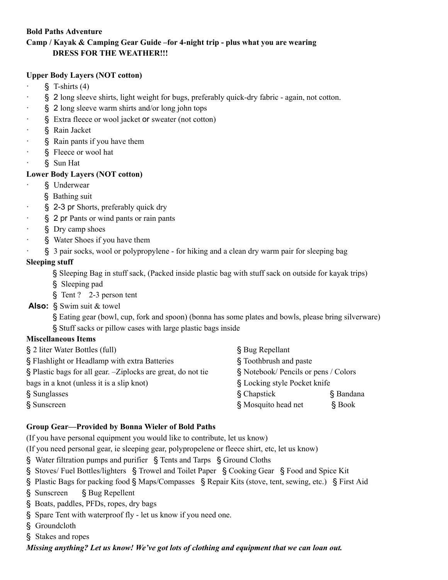#### **Bold Paths Adventure**

# **Camp / Kayak & Camping Gear Guide –for 4-night trip - plus what you are wearing DRESS FOR THE WEATHER!!!**

#### **Upper Body Layers (NOT cotton)**

- $\S$  T-shirts (4)
- · § 2 long sleeve shirts, light weight for bugs, preferably quick-dry fabric again, not cotton.
- · § 2 long sleeve warm shirts and/or long john tops
- § Extra fleece or wool jacket or sweater (not cotton)
- § Rain Jacket
- · § Rain pants if you have them
- · § Fleece or wool hat
- · § Sun Hat

## **Lower Body Layers (NOT cotton)**

- § Underwear
	- § Bathing suit
- § 2-3 pr Shorts, preferably quick dry
- · § 2 pr Pants or wind pants or rain pants
- · § Dry camp shoes
- § Water Shoes if you have them
- · § 3 pair socks, wool or polypropylene for hiking and a clean dry warm pair for sleeping bag

#### **Sleeping stuff**

- § Sleeping Bag in stuff sack, (Packed inside plastic bag with stuff sack on outside for kayak trips)
- § Sleeping pad
- § Tent ? 2-3 person tent

#### **Also:** § Swim suit & towel

§ Eating gear (bowl, cup, fork and spoon) (bonna has some plates and bowls, please bring silverware) § Stuff sacks or pillow cases with large plastic bags inside

#### **Miscellaneous Items**

| § 2 liter Water Bottles (full)                                | § Bug Repellant                      |  |
|---------------------------------------------------------------|--------------------------------------|--|
| § Flashlight or Headlamp with extra Batteries                 | § Toothbrush and paste               |  |
| § Plastic bags for all gear. - Ziplocks are great, do not tie | § Notebook/ Pencils or pens / Colors |  |
| bags in a knot (unless it is a slip knot)                     | § Locking style Pocket knife         |  |
| § Sunglasses                                                  | § Chapstick<br>§ Bandana             |  |
| § Sunscreen                                                   | § Mosquito head net<br>$§$ Book      |  |

## **Group Gear—Provided by Bonna Wieler of Bold Paths**

(If you have personal equipment you would like to contribute, let us know)

(If you need personal gear, ie sleeping gear, polypropelene or fleece shirt, etc, let us know)

- § Water filtration pumps and purifier § Tents and Tarps § Ground Cloths
- § Stoves/ Fuel Bottles/lighters § Trowel and Toilet Paper § Cooking Gear § Food and Spice Kit
- § Plastic Bags for packing food § Maps/Compasses § Repair Kits (stove, tent, sewing, etc.) § First Aid
- § Sunscreen § Bug Repellent
- § Boats, paddles, PFDs, ropes, dry bags
- § Spare Tent with waterproof fly let us know if you need one.
- § Groundcloth
- § Stakes and ropes

*Missing anything? Let us know! We've got lots of clothing and equipment that we can loan out.*